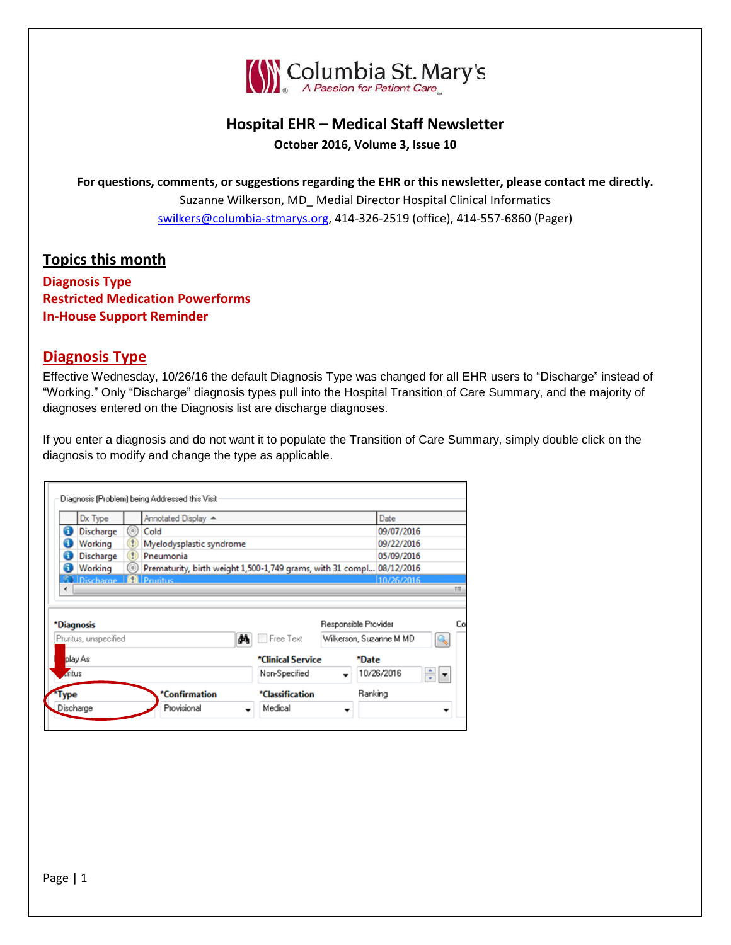

# **Hospital EHR – Medical Staff Newsletter October 2016, Volume 3, Issue 10**

**For questions, comments, or suggestions regarding the EHR or this newsletter, please contact me directly.** Suzanne Wilkerson, MD\_ Medial Director Hospital Clinical Informatics [swilkers@columbia-stmarys.org,](mailto:swilkers@columbia-stmarys.org) 414-326-2519 (office), 414-557-6860 (Pager)

### **Topics this month**

**Diagnosis Type Restricted Medication Powerforms In-House Support Reminder**

#### **Diagnosis Type**

Effective Wednesday, 10/26/16 the default Diagnosis Type was changed for all EHR users to "Discharge" instead of "Working." Only "Discharge" diagnosis types pull into the Hospital Transition of Care Summary, and the majority of diagnoses entered on the Diagnosis list are discharge diagnoses.

If you enter a diagnosis and do not want it to populate the Transition of Care Summary, simply double click on the diagnosis to modify and change the type as applicable.

| play As<br>aritus                     |                                     |                                                                         | *Clinical Service<br>Non-Specified |                         | *Date<br>10/26/2016<br>÷ - |  |
|---------------------------------------|-------------------------------------|-------------------------------------------------------------------------|------------------------------------|-------------------------|----------------------------|--|
|                                       |                                     |                                                                         |                                    |                         |                            |  |
|                                       |                                     |                                                                         |                                    |                         |                            |  |
|                                       | Pruritus, unspecified               |                                                                         | åå<br>Free Text                    | Wilkerson, Suzanne M MD |                            |  |
| *Diagnosis                            |                                     | Responsible Provider                                                    |                                    |                         |                            |  |
| ٠                                     |                                     |                                                                         |                                    |                         |                            |  |
| <b>60 Discharge   O Pruritus</b>      |                                     |                                                                         |                                    |                         | 10/26/2016                 |  |
| G<br><b>Discharge</b><br>6<br>Working | $\left( 2\right)$<br>$\circledcirc$ | Pneumonia<br>Prematurity, birth weight 1,500-1,749 grams, with 31 compl |                                    |                         | 05/09/2016<br>08/12/2016   |  |
| A<br>Working                          |                                     | Myelodysplastic syndrome                                                |                                    |                         | 09/22/2016                 |  |
| 6<br>Discharge                        | $\circ$                             | Cold                                                                    |                                    |                         | 09/07/2016                 |  |
|                                       |                                     | Annotated Display A                                                     |                                    |                         | Date                       |  |